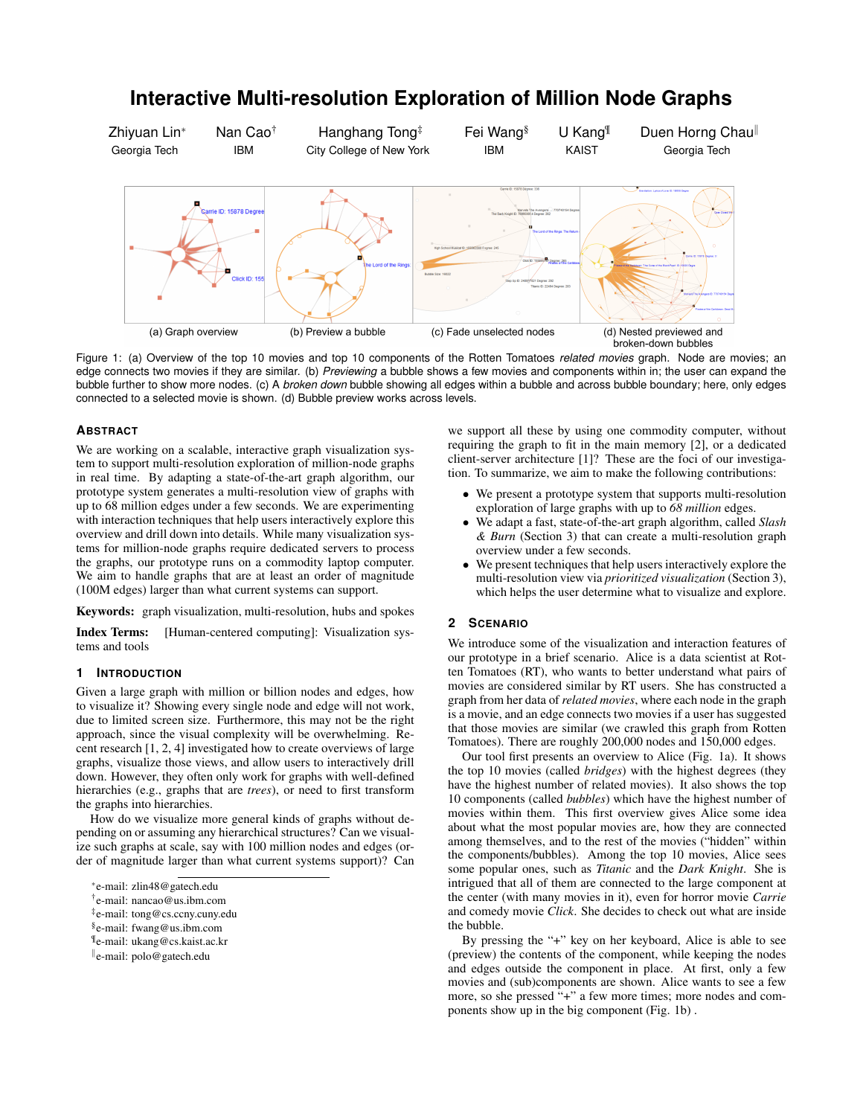# **Interactive Multi-resolution Exploration of Million Node Graphs**

Zhiyuan Lin<sup>\*</sup> Georgia Tech Nan Cao† IBM Hanghang Tong‡ City College of New York Fei Wang§ IBM U Kang¶ KAIST Duen Horng Chaull Georgia Tech



Figure 1: (a) Overview of the top 10 movies and top 10 components of the Rotten Tomatoes *related movies* graph. Node are movies; an edge connects two movies if they are similar. (b) *Previewing* a bubble shows a few movies and components within in; the user can expand the bubble further to show more nodes. (c) A *broken down* bubble showing all edges within a bubble and across bubble boundary; here, only edges connected to a selected movie is shown. (d) Bubble preview works across levels.

## **ABSTRACT**

We are working on a scalable, interactive graph visualization system to support multi-resolution exploration of million-node graphs in real time. By adapting a state-of-the-art graph algorithm, our prototype system generates a multi-resolution view of graphs with up to 68 million edges under a few seconds. We are experimenting with interaction techniques that help users interactively explore this overview and drill down into details. While many visualization systems for million-node graphs require dedicated servers to process the graphs, our prototype runs on a commodity laptop computer. We aim to handle graphs that are at least an order of magnitude (100M edges) larger than what current systems can support.

Keywords: graph visualization, multi-resolution, hubs and spokes

Index Terms: [Human-centered computing]: Visualization systems and tools

## **1 INTRODUCTION**

Given a large graph with million or billion nodes and edges, how to visualize it? Showing every single node and edge will not work, due to limited screen size. Furthermore, this may not be the right approach, since the visual complexity will be overwhelming. Recent research [1, 2, 4] investigated how to create overviews of large graphs, visualize those views, and allow users to interactively drill down. However, they often only work for graphs with well-defined hierarchies (e.g., graphs that are *trees*), or need to first transform the graphs into hierarchies.

How do we visualize more general kinds of graphs without depending on or assuming any hierarchical structures? Can we visualize such graphs at scale, say with 100 million nodes and edges (order of magnitude larger than what current systems support)? Can

¶e-mail: ukang@cs.kaist.ac.kr

we support all these by using one commodity computer, without requiring the graph to fit in the main memory [2], or a dedicated client-server architecture [1]? These are the foci of our investigation. To summarize, we aim to make the following contributions:

- *•* We present a prototype system that supports multi-resolution exploration of large graphs with up to *68 million* edges.
- *•* We adapt a fast, state-of-the-art graph algorithm, called *Slash & Burn* (Section 3) that can create a multi-resolution graph overview under a few seconds.
- *•* We present techniques that help users interactively explore the multi-resolution view via *prioritized visualization* (Section 3), which helps the user determine what to visualize and explore.

## **2 SCENARIO**

We introduce some of the visualization and interaction features of our prototype in a brief scenario. Alice is a data scientist at Rotten Tomatoes (RT), who wants to better understand what pairs of movies are considered similar by RT users. She has constructed a graph from her data of *related movies*, where each node in the graph is a movie, and an edge connects two movies if a user has suggested that those movies are similar (we crawled this graph from Rotten Tomatoes). There are roughly 200,000 nodes and 150,000 edges.

Our tool first presents an overview to Alice (Fig. 1a). It shows the top 10 movies (called *bridges*) with the highest degrees (they have the highest number of related movies). It also shows the top 10 components (called *bubbles*) which have the highest number of movies within them. This first overview gives Alice some idea about what the most popular movies are, how they are connected among themselves, and to the rest of the movies ("hidden" within the components/bubbles). Among the top 10 movies, Alice sees some popular ones, such as *Titanic* and the *Dark Knight*. She is intrigued that all of them are connected to the large component at the center (with many movies in it), even for horror movie *Carrie* and comedy movie *Click*. She decides to check out what are inside the bubble.

By pressing the "+" key on her keyboard, Alice is able to see (preview) the contents of the component, while keeping the nodes and edges outside the component in place. At first, only a few movies and (sub)components are shown. Alice wants to see a few more, so she pressed "+" a few more times; more nodes and components show up in the big component (Fig. 1b) .

<sup>⇤</sup>e-mail: zlin48@gatech.edu

<sup>†</sup>e-mail: nancao@us.ibm.com

<sup>‡</sup>e-mail: tong@cs.ccny.cuny.edu

<sup>§</sup>e-mail: fwang@us.ibm.com

 $\mathbb{R}$ e-mail: polo@gatech.edu